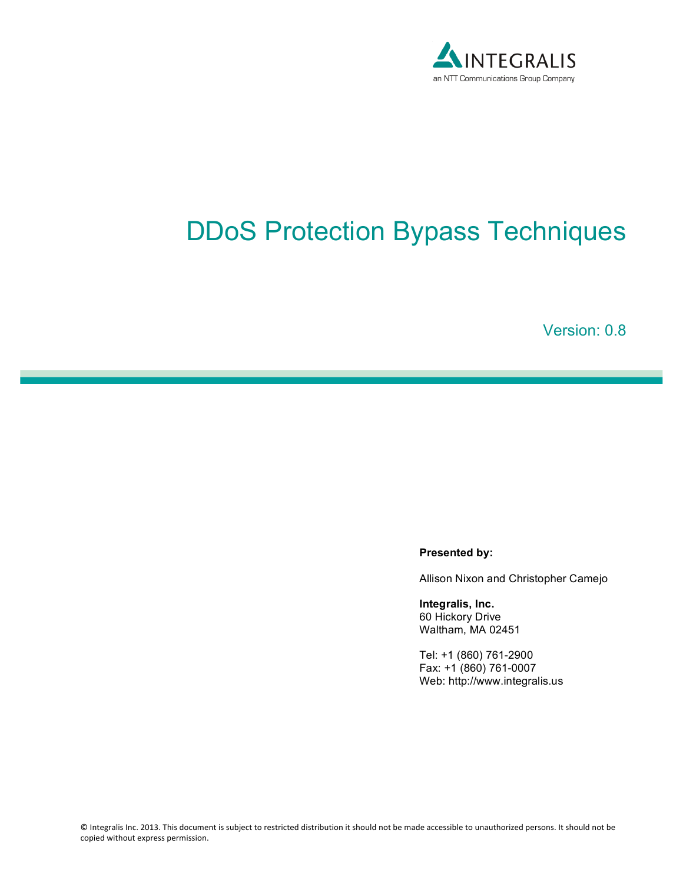

# DDoS Protection Bypass Techniques

Version: 0.8

#### **Presented by:**

Allison Nixon and Christopher Camejo

**Integralis, Inc.** 60 Hickory Drive Waltham, MA 02451

Tel: +1 (860) 761-2900 Fax: +1 (860) 761-0007 Web: http://www.integralis.us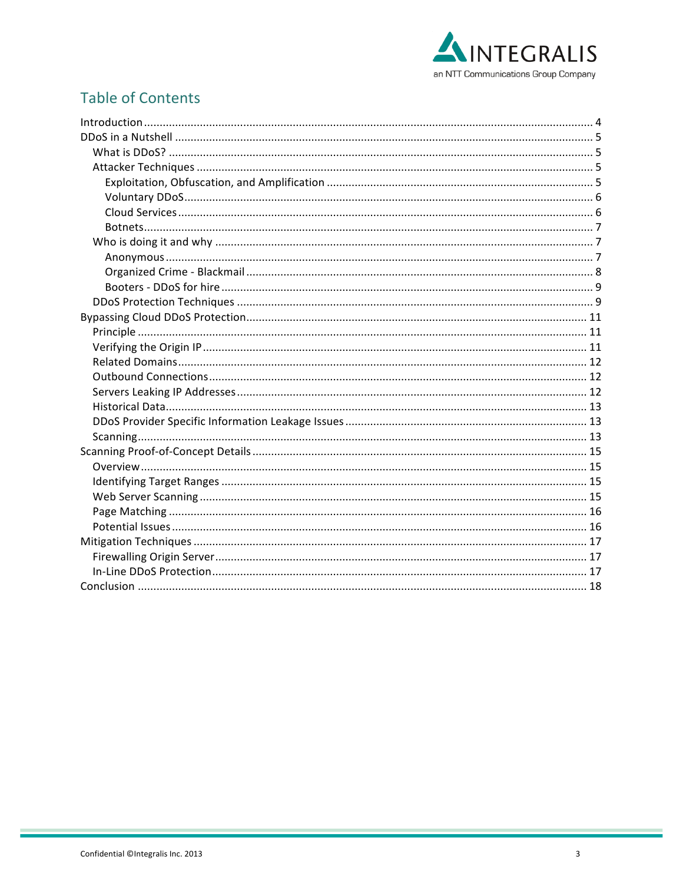

# **Table of Contents**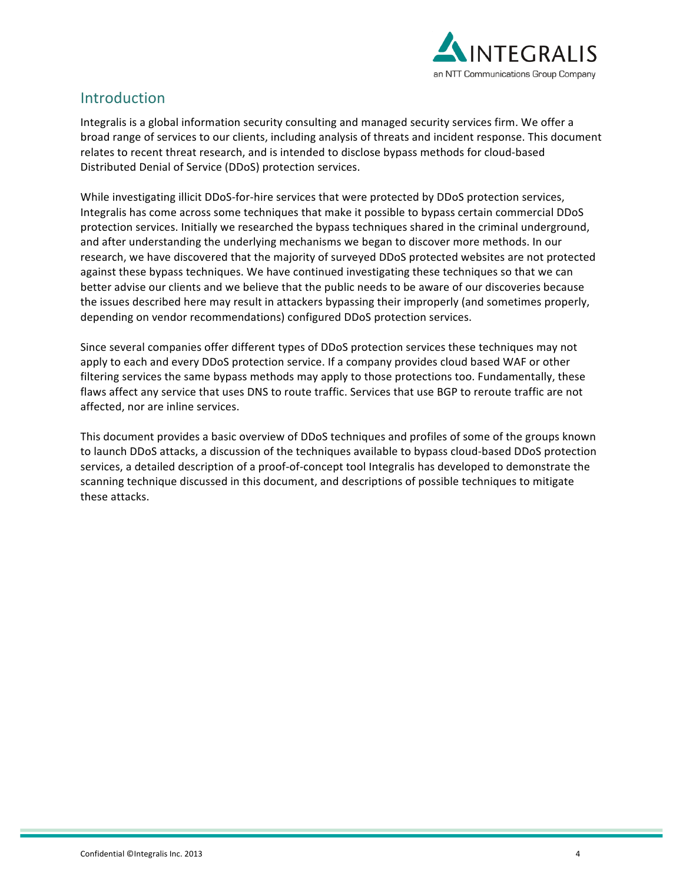

# Introduction

Integralis is a global information security consulting and managed security services firm. We offer a broad range of services to our clients, including analysis of threats and incident response. This document relates to recent threat research, and is intended to disclose bypass methods for cloud-based Distributed Denial of Service (DDoS) protection services.

While investigating illicit DDoS-for-hire services that were protected by DDoS protection services, Integralis has come across some techniques that make it possible to bypass certain commercial DDoS protection services. Initially we researched the bypass techniques shared in the criminal underground, and after understanding the underlying mechanisms we began to discover more methods. In our research, we have discovered that the majority of surveyed DDoS protected websites are not protected against these bypass techniques. We have continued investigating these techniques so that we can better advise our clients and we believe that the public needs to be aware of our discoveries because the issues described here may result in attackers bypassing their improperly (and sometimes properly, depending on vendor recommendations) configured DDoS protection services.

Since several companies offer different types of DDoS protection services these techniques may not apply to each and every DDoS protection service. If a company provides cloud based WAF or other filtering services the same bypass methods may apply to those protections too. Fundamentally, these flaws affect any service that uses DNS to route traffic. Services that use BGP to reroute traffic are not affected, nor are inline services.

This document provides a basic overview of DDoS techniques and profiles of some of the groups known to launch DDoS attacks, a discussion of the techniques available to bypass cloud-based DDoS protection services, a detailed description of a proof-of-concept tool Integralis has developed to demonstrate the scanning technique discussed in this document, and descriptions of possible techniques to mitigate these attacks.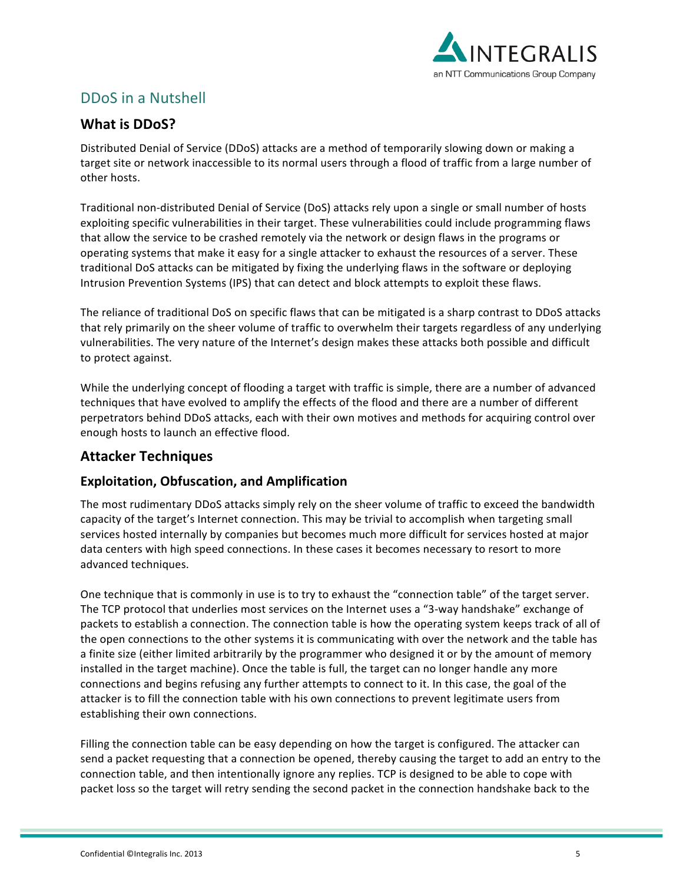

# DDoS in a Nutshell

# **What is DDoS?**

Distributed Denial of Service (DDoS) attacks are a method of temporarily slowing down or making a target site or network inaccessible to its normal users through a flood of traffic from a large number of other hosts.

Traditional non-distributed Denial of Service (DoS) attacks rely upon a single or small number of hosts exploiting specific vulnerabilities in their target. These vulnerabilities could include programming flaws that allow the service to be crashed remotely via the network or design flaws in the programs or operating systems that make it easy for a single attacker to exhaust the resources of a server. These traditional DoS attacks can be mitigated by fixing the underlying flaws in the software or deploying Intrusion Prevention Systems (IPS) that can detect and block attempts to exploit these flaws.

The reliance of traditional DoS on specific flaws that can be mitigated is a sharp contrast to DDoS attacks that rely primarily on the sheer volume of traffic to overwhelm their targets regardless of any underlying vulnerabilities. The very nature of the Internet's design makes these attacks both possible and difficult to protect against.

While the underlying concept of flooding a target with traffic is simple, there are a number of advanced techniques that have evolved to amplify the effects of the flood and there are a number of different perpetrators behind DDoS attacks, each with their own motives and methods for acquiring control over enough hosts to launch an effective flood.

## **Attacker Techniques**

#### **Exploitation, Obfuscation, and Amplification**

The most rudimentary DDoS attacks simply rely on the sheer volume of traffic to exceed the bandwidth capacity of the target's Internet connection. This may be trivial to accomplish when targeting small services hosted internally by companies but becomes much more difficult for services hosted at major data centers with high speed connections. In these cases it becomes necessary to resort to more advanced techniques.

One technique that is commonly in use is to try to exhaust the "connection table" of the target server. The TCP protocol that underlies most services on the Internet uses a "3-way handshake" exchange of packets to establish a connection. The connection table is how the operating system keeps track of all of the open connections to the other systems it is communicating with over the network and the table has a finite size (either limited arbitrarily by the programmer who designed it or by the amount of memory installed in the target machine). Once the table is full, the target can no longer handle any more connections and begins refusing any further attempts to connect to it. In this case, the goal of the attacker is to fill the connection table with his own connections to prevent legitimate users from establishing their own connections.

Filling the connection table can be easy depending on how the target is configured. The attacker can send a packet requesting that a connection be opened, thereby causing the target to add an entry to the connection table, and then intentionally ignore any replies. TCP is designed to be able to cope with packet loss so the target will retry sending the second packet in the connection handshake back to the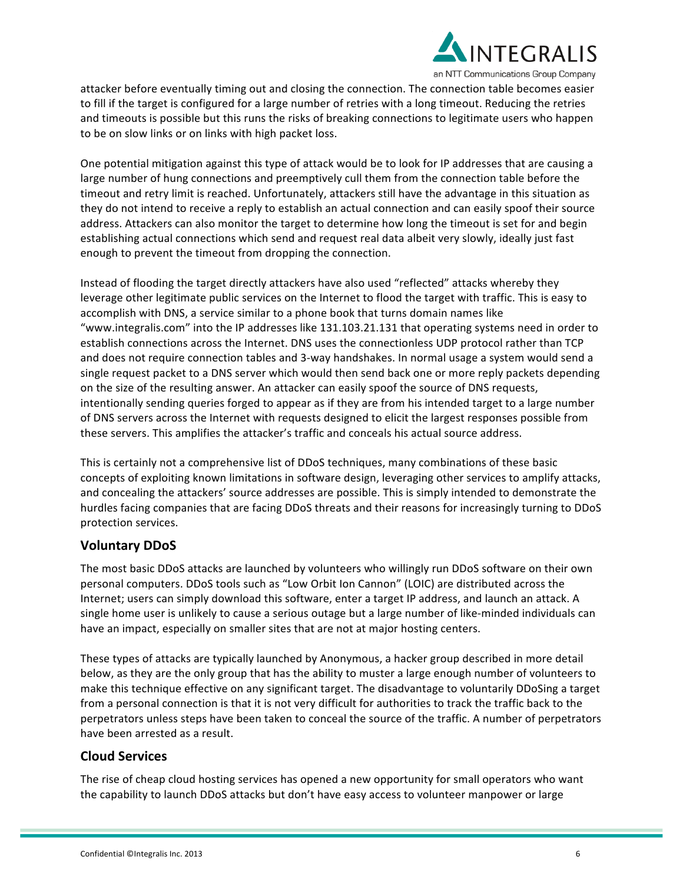

attacker before eventually timing out and closing the connection. The connection table becomes easier to fill if the target is configured for a large number of retries with a long timeout. Reducing the retries and timeouts is possible but this runs the risks of breaking connections to legitimate users who happen to be on slow links or on links with high packet loss.

One potential mitigation against this type of attack would be to look for IP addresses that are causing a large number of hung connections and preemptively cull them from the connection table before the timeout and retry limit is reached. Unfortunately, attackers still have the advantage in this situation as they do not intend to receive a reply to establish an actual connection and can easily spoof their source address. Attackers can also monitor the target to determine how long the timeout is set for and begin establishing actual connections which send and request real data albeit very slowly, ideally just fast enough to prevent the timeout from dropping the connection.

Instead of flooding the target directly attackers have also used "reflected" attacks whereby they leverage other legitimate public services on the Internet to flood the target with traffic. This is easy to accomplish with DNS, a service similar to a phone book that turns domain names like "www.integralis.com" into the IP addresses like 131.103.21.131 that operating systems need in order to establish connections across the Internet. DNS uses the connectionless UDP protocol rather than TCP and does not require connection tables and 3-way handshakes. In normal usage a system would send a single request packet to a DNS server which would then send back one or more reply packets depending on the size of the resulting answer. An attacker can easily spoof the source of DNS requests, intentionally sending queries forged to appear as if they are from his intended target to a large number of DNS servers across the Internet with requests designed to elicit the largest responses possible from these servers. This amplifies the attacker's traffic and conceals his actual source address.

This is certainly not a comprehensive list of DDoS techniques, many combinations of these basic concepts of exploiting known limitations in software design, leveraging other services to amplify attacks, and concealing the attackers' source addresses are possible. This is simply intended to demonstrate the hurdles facing companies that are facing DDoS threats and their reasons for increasingly turning to DDoS protection services.

#### **Voluntary DDoS**

The most basic DDoS attacks are launched by volunteers who willingly run DDoS software on their own personal computers. DDoS tools such as "Low Orbit Ion Cannon" (LOIC) are distributed across the Internet; users can simply download this software, enter a target IP address, and launch an attack. A single home user is unlikely to cause a serious outage but a large number of like-minded individuals can have an impact, especially on smaller sites that are not at major hosting centers.

These types of attacks are typically launched by Anonymous, a hacker group described in more detail below, as they are the only group that has the ability to muster a large enough number of volunteers to make this technique effective on any significant target. The disadvantage to voluntarily DDoSing a target from a personal connection is that it is not very difficult for authorities to track the traffic back to the perpetrators unless steps have been taken to conceal the source of the traffic. A number of perpetrators have been arrested as a result.

#### **Cloud Services**

The rise of cheap cloud hosting services has opened a new opportunity for small operators who want the capability to launch DDoS attacks but don't have easy access to volunteer manpower or large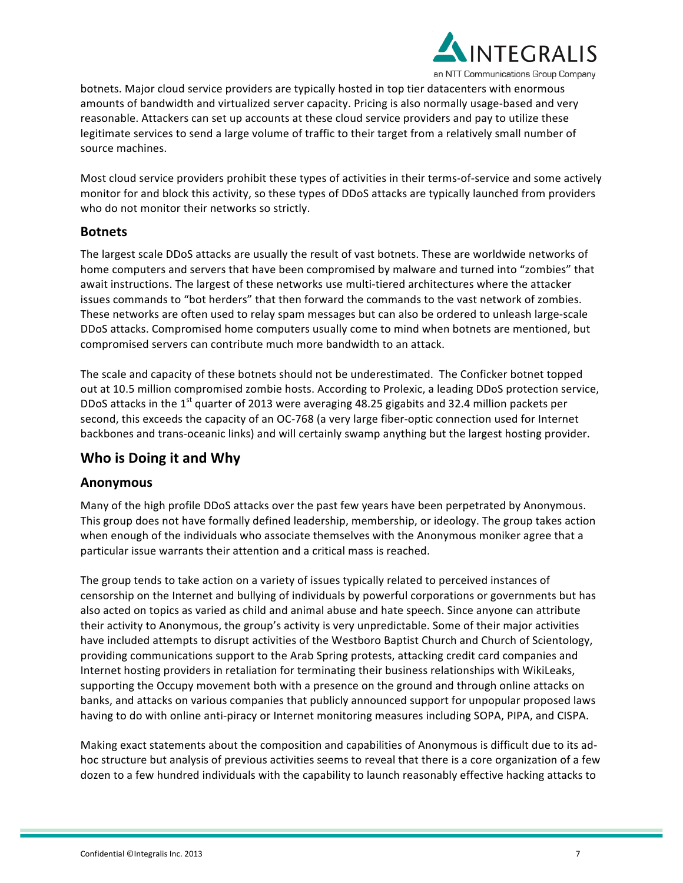

botnets. Major cloud service providers are typically hosted in top tier datacenters with enormous amounts of bandwidth and virtualized server capacity. Pricing is also normally usage-based and very reasonable. Attackers can set up accounts at these cloud service providers and pay to utilize these legitimate services to send a large volume of traffic to their target from a relatively small number of source machines.

Most cloud service providers prohibit these types of activities in their terms-of-service and some actively monitor for and block this activity, so these types of DDoS attacks are typically launched from providers who do not monitor their networks so strictly.

#### **Botnets**

The largest scale DDoS attacks are usually the result of vast botnets. These are worldwide networks of home computers and servers that have been compromised by malware and turned into "zombies" that await instructions. The largest of these networks use multi-tiered architectures where the attacker issues commands to "bot herders" that then forward the commands to the vast network of zombies. These networks are often used to relay spam messages but can also be ordered to unleash large-scale DDoS attacks. Compromised home computers usually come to mind when botnets are mentioned, but compromised servers can contribute much more bandwidth to an attack.

The scale and capacity of these botnets should not be underestimated. The Conficker botnet topped out at 10.5 million compromised zombie hosts. According to Prolexic, a leading DDoS protection service, DDoS attacks in the 1<sup>st</sup> quarter of 2013 were averaging 48.25 gigabits and 32.4 million packets per second, this exceeds the capacity of an OC-768 (a very large fiber-optic connection used for Internet backbones and trans-oceanic links) and will certainly swamp anything but the largest hosting provider.

## **Who is Doing it and Why**

#### **Anonymous**

Many of the high profile DDoS attacks over the past few years have been perpetrated by Anonymous. This group does not have formally defined leadership, membership, or ideology. The group takes action when enough of the individuals who associate themselves with the Anonymous moniker agree that a particular issue warrants their attention and a critical mass is reached.

The group tends to take action on a variety of issues typically related to perceived instances of censorship on the Internet and bullying of individuals by powerful corporations or governments but has also acted on topics as varied as child and animal abuse and hate speech. Since anyone can attribute their activity to Anonymous, the group's activity is very unpredictable. Some of their major activities have included attempts to disrupt activities of the Westboro Baptist Church and Church of Scientology, providing communications support to the Arab Spring protests, attacking credit card companies and Internet hosting providers in retaliation for terminating their business relationships with WikiLeaks, supporting the Occupy movement both with a presence on the ground and through online attacks on banks, and attacks on various companies that publicly announced support for unpopular proposed laws having to do with online anti-piracy or Internet monitoring measures including SOPA, PIPA, and CISPA.

Making exact statements about the composition and capabilities of Anonymous is difficult due to its adhoc structure but analysis of previous activities seems to reveal that there is a core organization of a few dozen to a few hundred individuals with the capability to launch reasonably effective hacking attacks to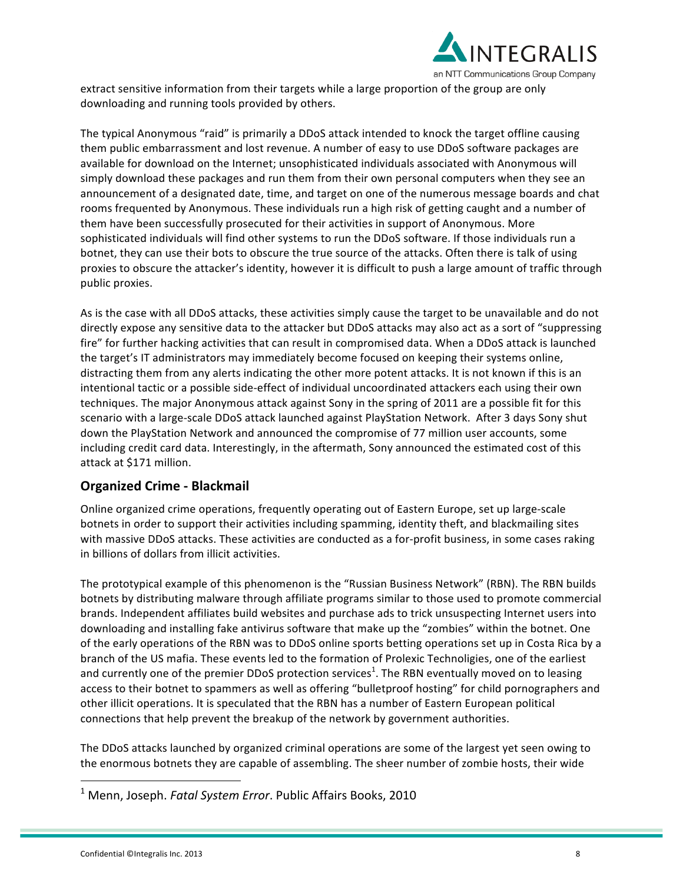

extract sensitive information from their targets while a large proportion of the group are only downloading and running tools provided by others.

The typical Anonymous "raid" is primarily a DDoS attack intended to knock the target offline causing them public embarrassment and lost revenue. A number of easy to use DDoS software packages are available for download on the Internet; unsophisticated individuals associated with Anonymous will simply download these packages and run them from their own personal computers when they see an announcement of a designated date, time, and target on one of the numerous message boards and chat rooms frequented by Anonymous. These individuals run a high risk of getting caught and a number of them have been successfully prosecuted for their activities in support of Anonymous. More sophisticated individuals will find other systems to run the DDoS software. If those individuals run a botnet, they can use their bots to obscure the true source of the attacks. Often there is talk of using proxies to obscure the attacker's identity, however it is difficult to push a large amount of traffic through public proxies.

As is the case with all DDoS attacks, these activities simply cause the target to be unavailable and do not directly expose any sensitive data to the attacker but DDoS attacks may also act as a sort of "suppressing fire" for further hacking activities that can result in compromised data. When a DDoS attack is launched the target's IT administrators may immediately become focused on keeping their systems online, distracting them from any alerts indicating the other more potent attacks. It is not known if this is an intentional tactic or a possible side-effect of individual uncoordinated attackers each using their own techniques. The major Anonymous attack against Sony in the spring of 2011 are a possible fit for this scenario with a large-scale DDoS attack launched against PlayStation Network. After 3 days Sony shut down the PlayStation Network and announced the compromise of 77 million user accounts, some including credit card data. Interestingly, in the aftermath, Sony announced the estimated cost of this attack at \$171 million.

#### **Organized Crime - Blackmail**

Online organized crime operations, frequently operating out of Eastern Europe, set up large-scale botnets in order to support their activities including spamming, identity theft, and blackmailing sites with massive DDoS attacks. These activities are conducted as a for-profit business, in some cases raking in billions of dollars from illicit activities.

The prototypical example of this phenomenon is the "Russian Business Network" (RBN). The RBN builds botnets by distributing malware through affiliate programs similar to those used to promote commercial brands. Independent affiliates build websites and purchase ads to trick unsuspecting Internet users into downloading and installing fake antivirus software that make up the "zombies" within the botnet. One of the early operations of the RBN was to DDoS online sports betting operations set up in Costa Rica by a branch of the US mafia. These events led to the formation of Prolexic Technoligies, one of the earliest and currently one of the premier DDoS protection services<sup>1</sup>. The RBN eventually moved on to leasing access to their botnet to spammers as well as offering "bulletproof hosting" for child pornographers and other illicit operations. It is speculated that the RBN has a number of Eastern European political connections that help prevent the breakup of the network by government authorities.

The DDoS attacks launched by organized criminal operations are some of the largest yet seen owing to the enormous botnets they are capable of assembling. The sheer number of zombie hosts, their wide

<u> 1989 - Johann Stein, fransk politik (d. 1989)</u>

<sup>&</sup>lt;sup>1</sup> Menn, Joseph. Fatal System Error. Public Affairs Books, 2010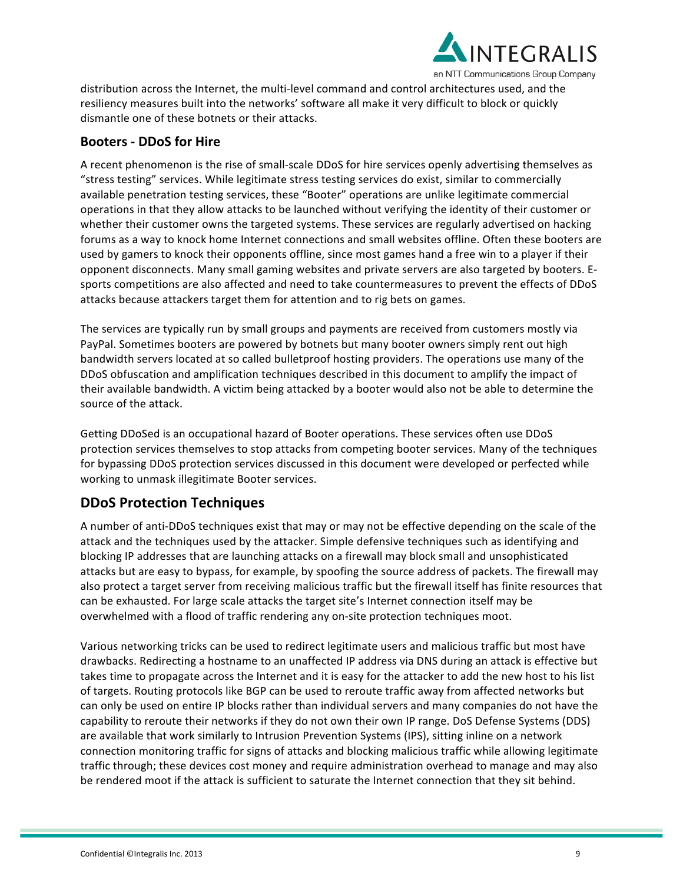

distribution across the Internet, the multi-level command and control architectures used, and the resiliency measures built into the networks' software all make it very difficult to block or quickly dismantle one of these botnets or their attacks.

#### **Booters - DDoS for Hire**

A recent phenomenon is the rise of small-scale DDoS for hire services openly advertising themselves as "stress testing" services. While legitimate stress testing services do exist, similar to commercially available penetration testing services, these "Booter" operations are unlike legitimate commercial operations in that they allow attacks to be launched without verifying the identity of their customer or whether their customer owns the targeted systems. These services are regularly advertised on hacking forums as a way to knock home Internet connections and small websites offline. Often these booters are used by gamers to knock their opponents offline, since most games hand a free win to a player if their opponent disconnects. Many small gaming websites and private servers are also targeted by booters. Esports competitions are also affected and need to take countermeasures to prevent the effects of DDoS attacks because attackers target them for attention and to rig bets on games.

The services are typically run by small groups and payments are received from customers mostly via PayPal. Sometimes booters are powered by botnets but many booter owners simply rent out high bandwidth servers located at so called bulletproof hosting providers. The operations use many of the DDoS obfuscation and amplification techniques described in this document to amplify the impact of their available bandwidth. A victim being attacked by a booter would also not be able to determine the source of the attack.

Getting DDoSed is an occupational hazard of Booter operations. These services often use DDoS protection services themselves to stop attacks from competing booter services. Many of the techniques for bypassing DDoS protection services discussed in this document were developed or perfected while working to unmask illegitimate Booter services.

## **DDoS Protection Techniques**

A number of anti-DDoS techniques exist that may or may not be effective depending on the scale of the attack and the techniques used by the attacker. Simple defensive techniques such as identifying and blocking IP addresses that are launching attacks on a firewall may block small and unsophisticated attacks but are easy to bypass, for example, by spoofing the source address of packets. The firewall may also protect a target server from receiving malicious traffic but the firewall itself has finite resources that can be exhausted. For large scale attacks the target site's Internet connection itself may be overwhelmed with a flood of traffic rendering any on-site protection techniques moot.

Various networking tricks can be used to redirect legitimate users and malicious traffic but most have drawbacks. Redirecting a hostname to an unaffected IP address via DNS during an attack is effective but takes time to propagate across the Internet and it is easy for the attacker to add the new host to his list of targets. Routing protocols like BGP can be used to reroute traffic away from affected networks but can only be used on entire IP blocks rather than individual servers and many companies do not have the capability to reroute their networks if they do not own their own IP range. DoS Defense Systems (DDS) are available that work similarly to Intrusion Prevention Systems (IPS), sitting inline on a network connection monitoring traffic for signs of attacks and blocking malicious traffic while allowing legitimate traffic through; these devices cost money and require administration overhead to manage and may also be rendered moot if the attack is sufficient to saturate the Internet connection that they sit behind.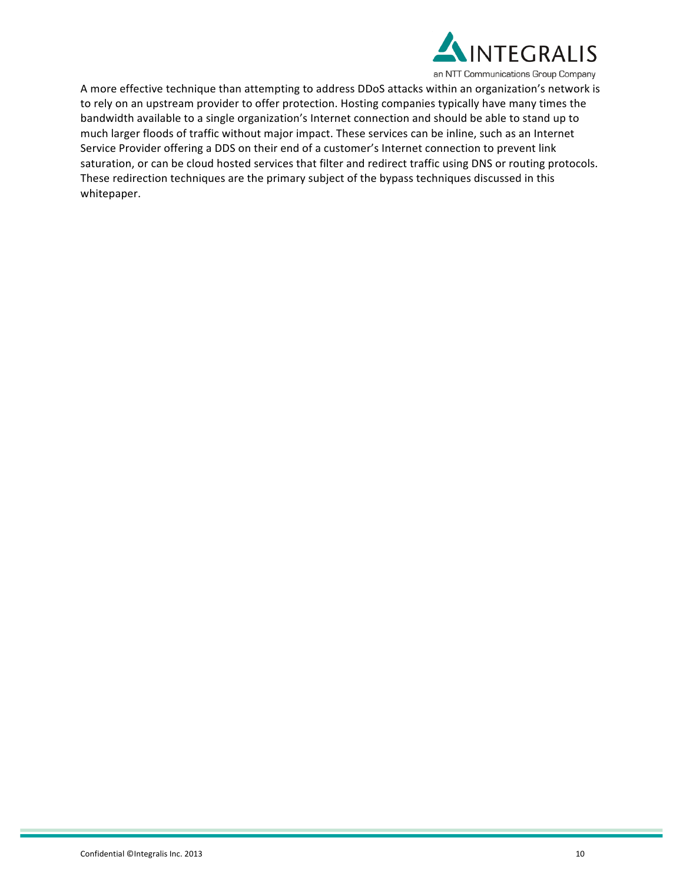

A more effective technique than attempting to address DDoS attacks within an organization's network is to rely on an upstream provider to offer protection. Hosting companies typically have many times the bandwidth available to a single organization's Internet connection and should be able to stand up to much larger floods of traffic without major impact. These services can be inline, such as an Internet Service Provider offering a DDS on their end of a customer's Internet connection to prevent link saturation, or can be cloud hosted services that filter and redirect traffic using DNS or routing protocols. These redirection techniques are the primary subject of the bypass techniques discussed in this whitepaper.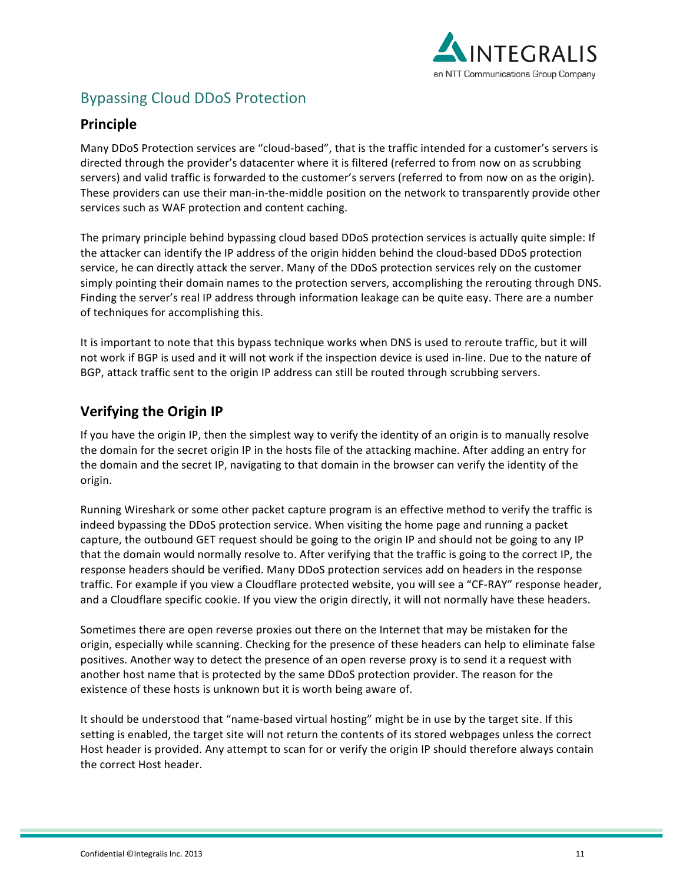

# **Bypassing Cloud DDoS Protection**

#### **Principle**

Many DDoS Protection services are "cloud-based", that is the traffic intended for a customer's servers is directed through the provider's datacenter where it is filtered (referred to from now on as scrubbing servers) and valid traffic is forwarded to the customer's servers (referred to from now on as the origin). These providers can use their man-in-the-middle position on the network to transparently provide other services such as WAF protection and content caching.

The primary principle behind bypassing cloud based DDoS protection services is actually quite simple: If the attacker can identify the IP address of the origin hidden behind the cloud-based DDoS protection service, he can directly attack the server. Many of the DDoS protection services rely on the customer simply pointing their domain names to the protection servers, accomplishing the rerouting through DNS. Finding the server's real IP address through information leakage can be quite easy. There are a number of techniques for accomplishing this.

It is important to note that this bypass technique works when DNS is used to reroute traffic, but it will not work if BGP is used and it will not work if the inspection device is used in-line. Due to the nature of BGP, attack traffic sent to the origin IP address can still be routed through scrubbing servers.

## **Verifying the Origin IP**

If you have the origin IP, then the simplest way to verify the identity of an origin is to manually resolve the domain for the secret origin IP in the hosts file of the attacking machine. After adding an entry for the domain and the secret IP, navigating to that domain in the browser can verify the identity of the origin. 

Running Wireshark or some other packet capture program is an effective method to verify the traffic is indeed bypassing the DDoS protection service. When visiting the home page and running a packet capture, the outbound GET request should be going to the origin IP and should not be going to any IP that the domain would normally resolve to. After verifying that the traffic is going to the correct IP, the response headers should be verified. Many DDoS protection services add on headers in the response traffic. For example if you view a Cloudflare protected website, you will see a "CF-RAY" response header, and a Cloudflare specific cookie. If you view the origin directly, it will not normally have these headers.

Sometimes there are open reverse proxies out there on the Internet that may be mistaken for the origin, especially while scanning. Checking for the presence of these headers can help to eliminate false positives. Another way to detect the presence of an open reverse proxy is to send it a request with another host name that is protected by the same DDoS protection provider. The reason for the existence of these hosts is unknown but it is worth being aware of.

It should be understood that "name-based virtual hosting" might be in use by the target site. If this setting is enabled, the target site will not return the contents of its stored webpages unless the correct Host header is provided. Any attempt to scan for or verify the origin IP should therefore always contain the correct Host header.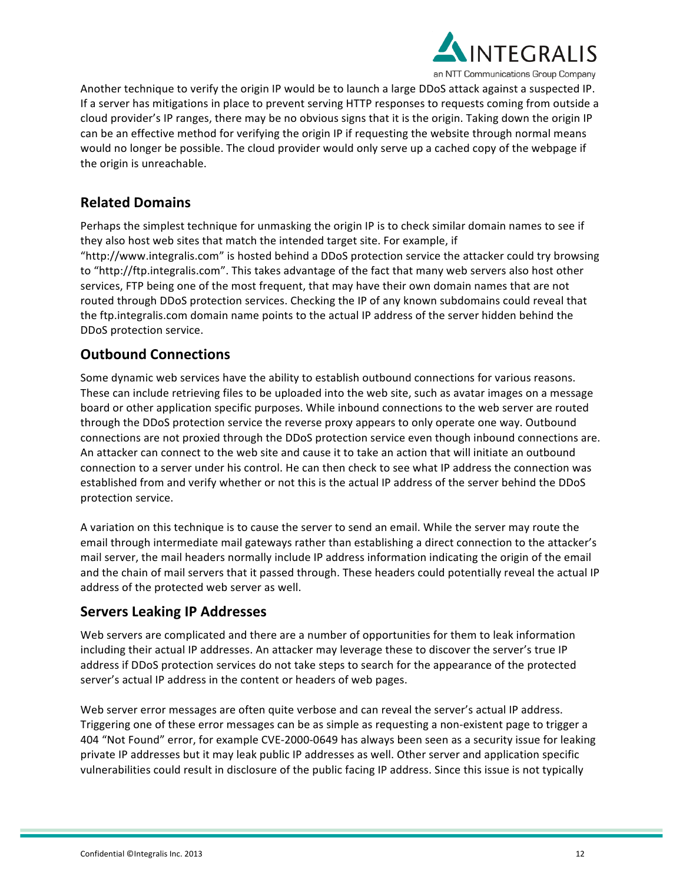

Another technique to verify the origin IP would be to launch a large DDoS attack against a suspected IP. If a server has mitigations in place to prevent serving HTTP responses to requests coming from outside a cloud provider's IP ranges, there may be no obvious signs that it is the origin. Taking down the origin IP can be an effective method for verifying the origin IP if requesting the website through normal means would no longer be possible. The cloud provider would only serve up a cached copy of the webpage if the origin is unreachable.

# **Related Domains**

Perhaps the simplest technique for unmasking the origin IP is to check similar domain names to see if they also host web sites that match the intended target site. For example, if "http://www.integralis.com" is hosted behind a DDoS protection service the attacker could try browsing to "http://ftp.integralis.com". This takes advantage of the fact that many web servers also host other services, FTP being one of the most frequent, that may have their own domain names that are not routed through DDoS protection services. Checking the IP of any known subdomains could reveal that the ftp.integralis.com domain name points to the actual IP address of the server hidden behind the DDoS protection service.

# **Outbound Connections**

Some dynamic web services have the ability to establish outbound connections for various reasons. These can include retrieving files to be uploaded into the web site, such as avatar images on a message board or other application specific purposes. While inbound connections to the web server are routed through the DDoS protection service the reverse proxy appears to only operate one way. Outbound connections are not proxied through the DDoS protection service even though inbound connections are. An attacker can connect to the web site and cause it to take an action that will initiate an outbound connection to a server under his control. He can then check to see what IP address the connection was established from and verify whether or not this is the actual IP address of the server behind the DDoS protection service.

A variation on this technique is to cause the server to send an email. While the server may route the email through intermediate mail gateways rather than establishing a direct connection to the attacker's mail server, the mail headers normally include IP address information indicating the origin of the email and the chain of mail servers that it passed through. These headers could potentially reveal the actual IP address of the protected web server as well.

## **Servers Leaking IP Addresses**

Web servers are complicated and there are a number of opportunities for them to leak information including their actual IP addresses. An attacker may leverage these to discover the server's true IP address if DDoS protection services do not take steps to search for the appearance of the protected server's actual IP address in the content or headers of web pages.

Web server error messages are often quite verbose and can reveal the server's actual IP address. Triggering one of these error messages can be as simple as requesting a non-existent page to trigger a 404 "Not Found" error, for example CVE-2000-0649 has always been seen as a security issue for leaking private IP addresses but it may leak public IP addresses as well. Other server and application specific vulnerabilities could result in disclosure of the public facing IP address. Since this issue is not typically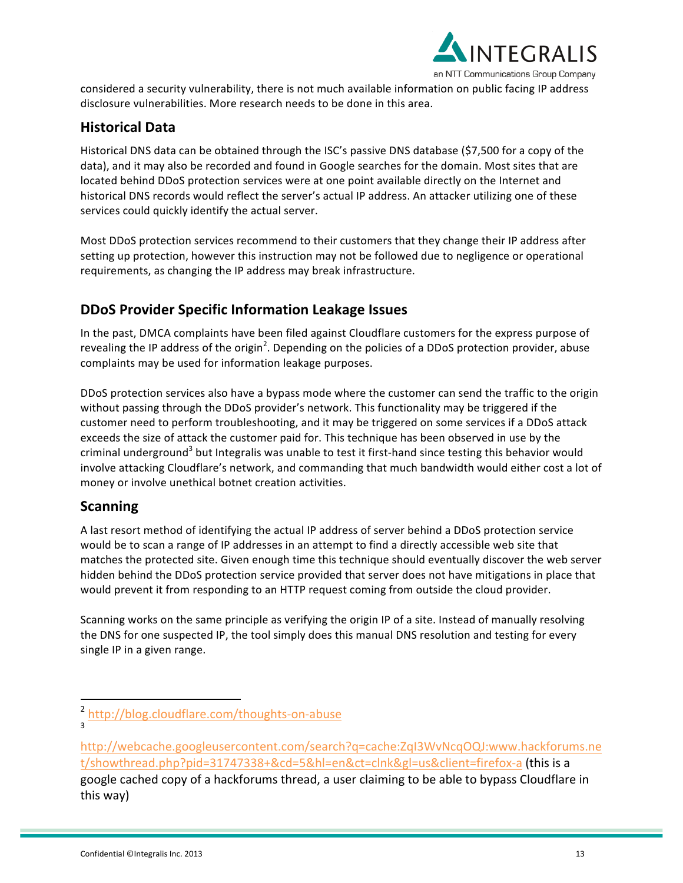

considered a security vulnerability, there is not much available information on public facing IP address disclosure vulnerabilities. More research needs to be done in this area.

#### **Historical Data**

Historical DNS data can be obtained through the ISC's passive DNS database (\$7,500 for a copy of the data), and it may also be recorded and found in Google searches for the domain. Most sites that are located behind DDoS protection services were at one point available directly on the Internet and historical DNS records would reflect the server's actual IP address. An attacker utilizing one of these services could quickly identify the actual server.

Most DDoS protection services recommend to their customers that they change their IP address after setting up protection, however this instruction may not be followed due to negligence or operational requirements, as changing the IP address may break infrastructure.

#### **DDoS Provider Specific Information Leakage Issues**

In the past, DMCA complaints have been filed against Cloudflare customers for the express purpose of revealing the IP address of the origin<sup>2</sup>. Depending on the policies of a DDoS protection provider, abuse complaints may be used for information leakage purposes.

DDoS protection services also have a bypass mode where the customer can send the traffic to the origin without passing through the DDoS provider's network. This functionality may be triggered if the customer need to perform troubleshooting, and it may be triggered on some services if a DDoS attack exceeds the size of attack the customer paid for. This technique has been observed in use by the criminal underground<sup>3</sup> but Integralis was unable to test it first-hand since testing this behavior would involve attacking Cloudflare's network, and commanding that much bandwidth would either cost a lot of money or involve unethical botnet creation activities.

## **Scanning**

A last resort method of identifying the actual IP address of server behind a DDoS protection service would be to scan a range of IP addresses in an attempt to find a directly accessible web site that matches the protected site. Given enough time this technique should eventually discover the web server hidden behind the DDoS protection service provided that server does not have mitigations in place that would prevent it from responding to an HTTP request coming from outside the cloud provider.

Scanning works on the same principle as verifying the origin IP of a site. Instead of manually resolving the DNS for one suspected IP, the tool simply does this manual DNS resolution and testing for every single IP in a given range.

<u> 1989 - Johann Stein, fransk politik (d. 1989)</u>

<sup>&</sup>lt;sup>2</sup> http://blog.cloudflare.com/thoughts-on-abuse

<sup>3</sup>

http://webcache.googleusercontent.com/search?q=cache:ZqI3WvNcqOQJ:www.hackforums.ne t/showthread.php?pid=31747338+&cd=5&hl=en&ct=clnk&gl=us&client=firefox-a (this is a google cached copy of a hackforums thread, a user claiming to be able to bypass Cloudflare in this way)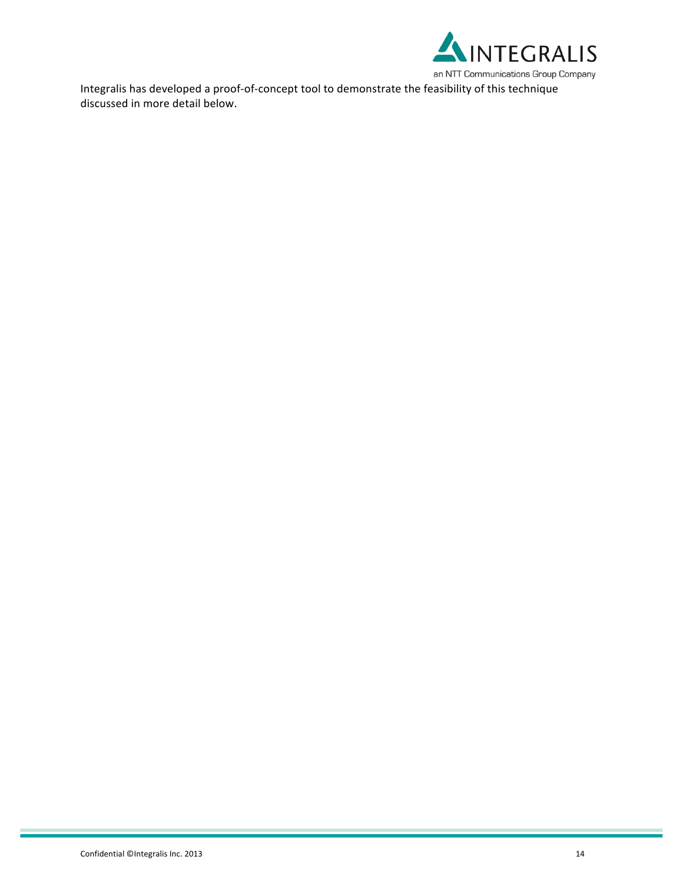

Integralis has developed a proof-of-concept tool to demonstrate the feasibility of this technique discussed in more detail below.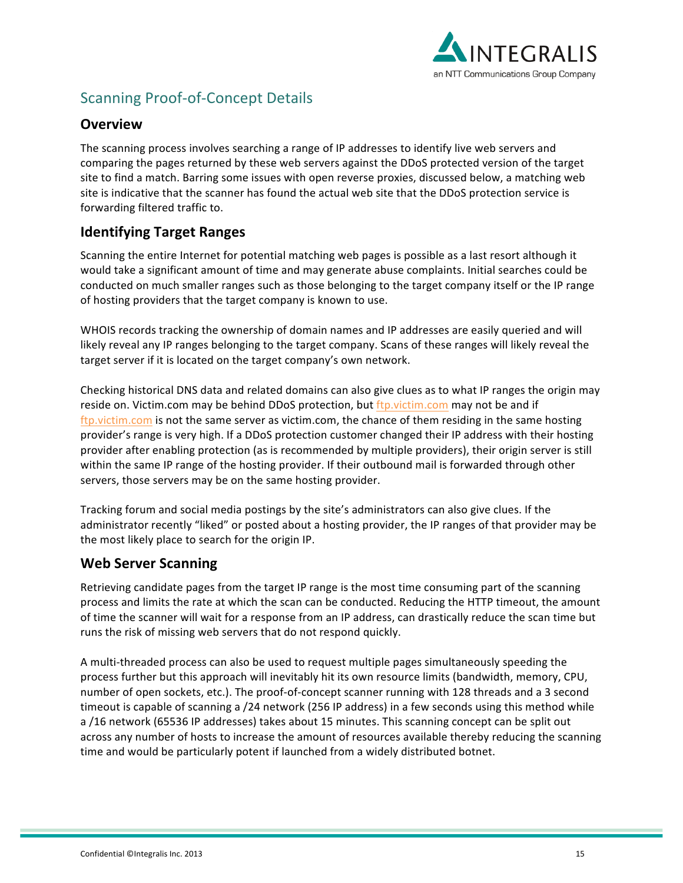

# Scanning Proof-of-Concept Details

#### **Overview**

The scanning process involves searching a range of IP addresses to identify live web servers and comparing the pages returned by these web servers against the DDoS protected version of the target site to find a match. Barring some issues with open reverse proxies, discussed below, a matching web site is indicative that the scanner has found the actual web site that the DDoS protection service is forwarding filtered traffic to.

# **Identifying Target Ranges**

Scanning the entire Internet for potential matching web pages is possible as a last resort although it would take a significant amount of time and may generate abuse complaints. Initial searches could be conducted on much smaller ranges such as those belonging to the target company itself or the IP range of hosting providers that the target company is known to use.

WHOIS records tracking the ownership of domain names and IP addresses are easily queried and will likely reveal any IP ranges belonging to the target company. Scans of these ranges will likely reveal the target server if it is located on the target company's own network.

Checking historical DNS data and related domains can also give clues as to what IP ranges the origin may reside on. Victim.com may be behind DDoS protection, but ftp.victim.com may not be and if ftp.victim.com is not the same server as victim.com, the chance of them residing in the same hosting provider's range is very high. If a DDoS protection customer changed their IP address with their hosting provider after enabling protection (as is recommended by multiple providers), their origin server is still within the same IP range of the hosting provider. If their outbound mail is forwarded through other servers, those servers may be on the same hosting provider.

Tracking forum and social media postings by the site's administrators can also give clues. If the administrator recently "liked" or posted about a hosting provider, the IP ranges of that provider may be the most likely place to search for the origin IP.

## **Web Server Scanning**

Retrieving candidate pages from the target IP range is the most time consuming part of the scanning process and limits the rate at which the scan can be conducted. Reducing the HTTP timeout, the amount of time the scanner will wait for a response from an IP address, can drastically reduce the scan time but runs the risk of missing web servers that do not respond quickly.

A multi-threaded process can also be used to request multiple pages simultaneously speeding the process further but this approach will inevitably hit its own resource limits (bandwidth, memory, CPU, number of open sockets, etc.). The proof-of-concept scanner running with 128 threads and a 3 second timeout is capable of scanning a /24 network (256 IP address) in a few seconds using this method while a /16 network (65536 IP addresses) takes about 15 minutes. This scanning concept can be split out across any number of hosts to increase the amount of resources available thereby reducing the scanning time and would be particularly potent if launched from a widely distributed botnet.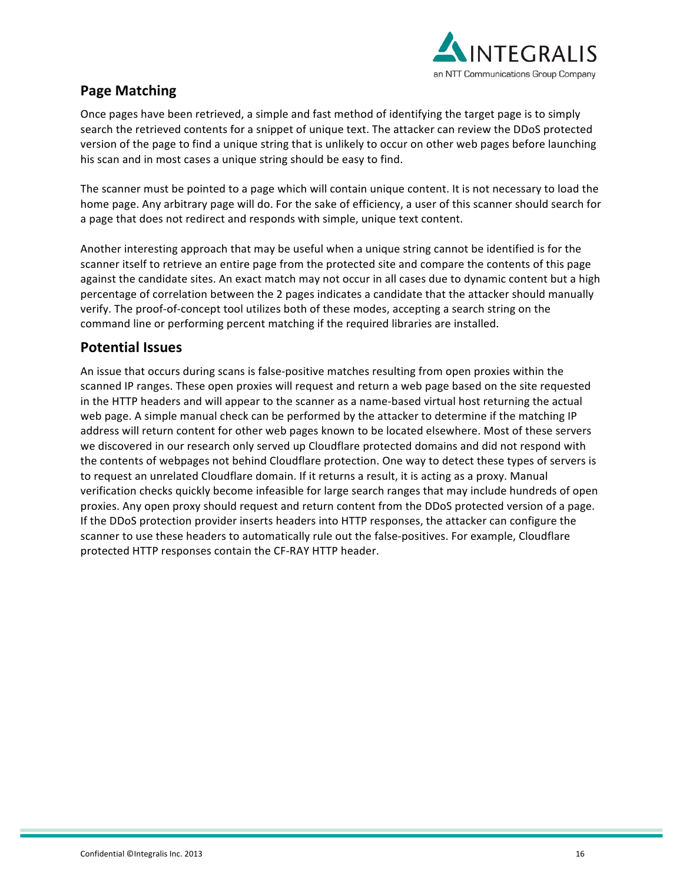

# **Page Matching**

Once pages have been retrieved, a simple and fast method of identifying the target page is to simply search the retrieved contents for a snippet of unique text. The attacker can review the DDoS protected version of the page to find a unique string that is unlikely to occur on other web pages before launching his scan and in most cases a unique string should be easy to find.

The scanner must be pointed to a page which will contain unique content. It is not necessary to load the home page. Any arbitrary page will do. For the sake of efficiency, a user of this scanner should search for a page that does not redirect and responds with simple, unique text content.

Another interesting approach that may be useful when a unique string cannot be identified is for the scanner itself to retrieve an entire page from the protected site and compare the contents of this page against the candidate sites. An exact match may not occur in all cases due to dynamic content but a high percentage of correlation between the 2 pages indicates a candidate that the attacker should manually verify. The proof-of-concept tool utilizes both of these modes, accepting a search string on the command line or performing percent matching if the required libraries are installed.

#### **Potential Issues**

An issue that occurs during scans is false-positive matches resulting from open proxies within the scanned IP ranges. These open proxies will request and return a web page based on the site requested in the HTTP headers and will appear to the scanner as a name-based virtual host returning the actual web page. A simple manual check can be performed by the attacker to determine if the matching IP address will return content for other web pages known to be located elsewhere. Most of these servers we discovered in our research only served up Cloudflare protected domains and did not respond with the contents of webpages not behind Cloudflare protection. One way to detect these types of servers is to request an unrelated Cloudflare domain. If it returns a result, it is acting as a proxy. Manual verification checks quickly become infeasible for large search ranges that may include hundreds of open proxies. Any open proxy should request and return content from the DDoS protected version of a page. If the DDoS protection provider inserts headers into HTTP responses, the attacker can configure the scanner to use these headers to automatically rule out the false-positives. For example, Cloudflare protected HTTP responses contain the CF-RAY HTTP header.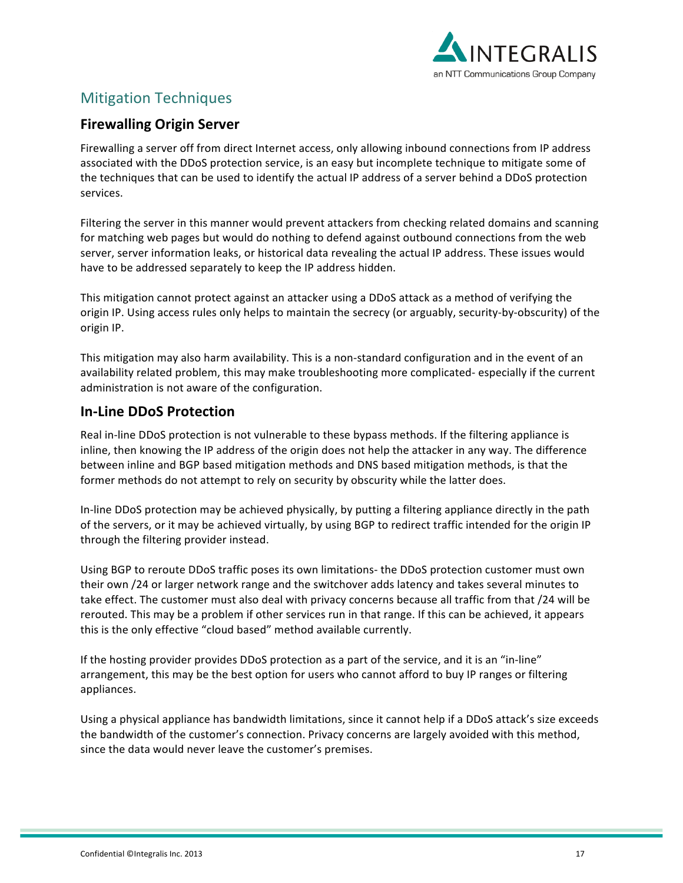

# **Mitigation Techniques**

#### **Firewalling Origin Server**

Firewalling a server off from direct Internet access, only allowing inbound connections from IP address associated with the DDoS protection service, is an easy but incomplete technique to mitigate some of the techniques that can be used to identify the actual IP address of a server behind a DDoS protection services.

Filtering the server in this manner would prevent attackers from checking related domains and scanning for matching web pages but would do nothing to defend against outbound connections from the web server, server information leaks, or historical data revealing the actual IP address. These issues would have to be addressed separately to keep the IP address hidden.

This mitigation cannot protect against an attacker using a DDoS attack as a method of verifying the origin IP. Using access rules only helps to maintain the secrecy (or arguably, security-by-obscurity) of the origin IP.

This mitigation may also harm availability. This is a non-standard configuration and in the event of an availability related problem, this may make troubleshooting more complicated- especially if the current administration is not aware of the configuration.

#### **In-Line DDoS Protection**

Real in-line DDoS protection is not vulnerable to these bypass methods. If the filtering appliance is inline, then knowing the IP address of the origin does not help the attacker in any way. The difference between inline and BGP based mitigation methods and DNS based mitigation methods, is that the former methods do not attempt to rely on security by obscurity while the latter does.

In-line DDoS protection may be achieved physically, by putting a filtering appliance directly in the path of the servers, or it may be achieved virtually, by using BGP to redirect traffic intended for the origin IP through the filtering provider instead.

Using BGP to reroute DDoS traffic poses its own limitations- the DDoS protection customer must own their own /24 or larger network range and the switchover adds latency and takes several minutes to take effect. The customer must also deal with privacy concerns because all traffic from that /24 will be rerouted. This may be a problem if other services run in that range. If this can be achieved, it appears this is the only effective "cloud based" method available currently.

If the hosting provider provides DDoS protection as a part of the service, and it is an "in-line" arrangement, this may be the best option for users who cannot afford to buy IP ranges or filtering appliances.

Using a physical appliance has bandwidth limitations, since it cannot help if a DDoS attack's size exceeds the bandwidth of the customer's connection. Privacy concerns are largely avoided with this method, since the data would never leave the customer's premises.